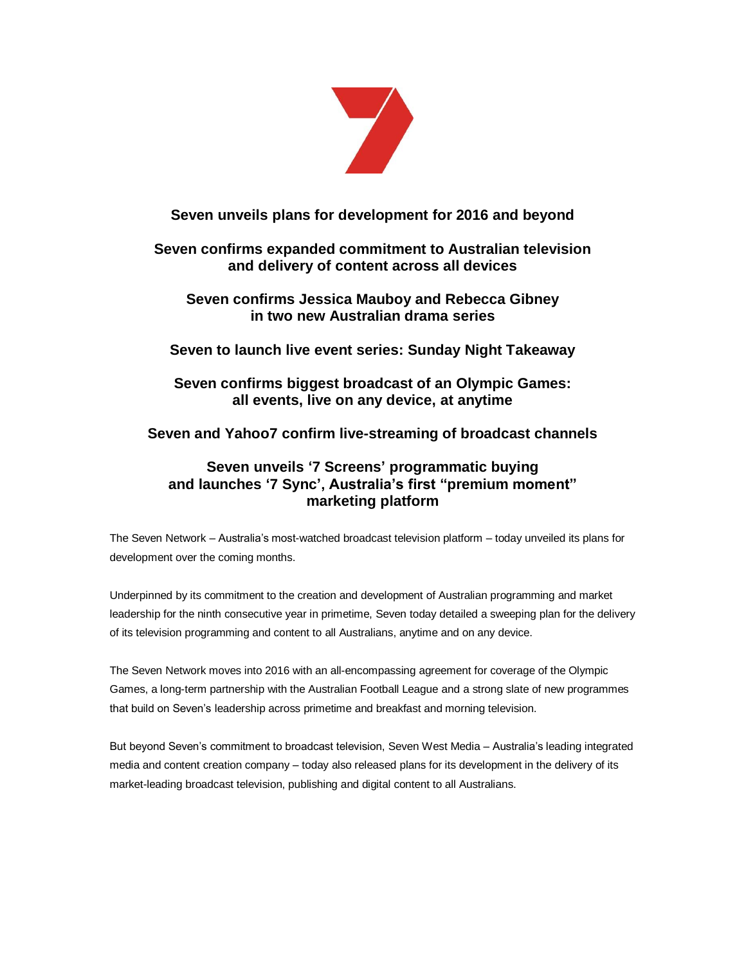

# **Seven unveils plans for development for 2016 and beyond**

# **Seven confirms expanded commitment to Australian television and delivery of content across all devices**

# **Seven confirms Jessica Mauboy and Rebecca Gibney in two new Australian drama series**

# **Seven to launch live event series: Sunday Night Takeaway**

# **Seven confirms biggest broadcast of an Olympic Games: all events, live on any device, at anytime**

# **Seven and Yahoo7 confirm live-streaming of broadcast channels**

# **Seven unveils '7 Screens' programmatic buying and launches '7 Sync', Australia's first "premium moment" marketing platform**

The Seven Network – Australia's most-watched broadcast television platform – today unveiled its plans for development over the coming months.

Underpinned by its commitment to the creation and development of Australian programming and market leadership for the ninth consecutive year in primetime, Seven today detailed a sweeping plan for the delivery of its television programming and content to all Australians, anytime and on any device.

The Seven Network moves into 2016 with an all-encompassing agreement for coverage of the Olympic Games, a long-term partnership with the Australian Football League and a strong slate of new programmes that build on Seven's leadership across primetime and breakfast and morning television.

But beyond Seven's commitment to broadcast television, Seven West Media – Australia's leading integrated media and content creation company – today also released plans for its development in the delivery of its market-leading broadcast television, publishing and digital content to all Australians.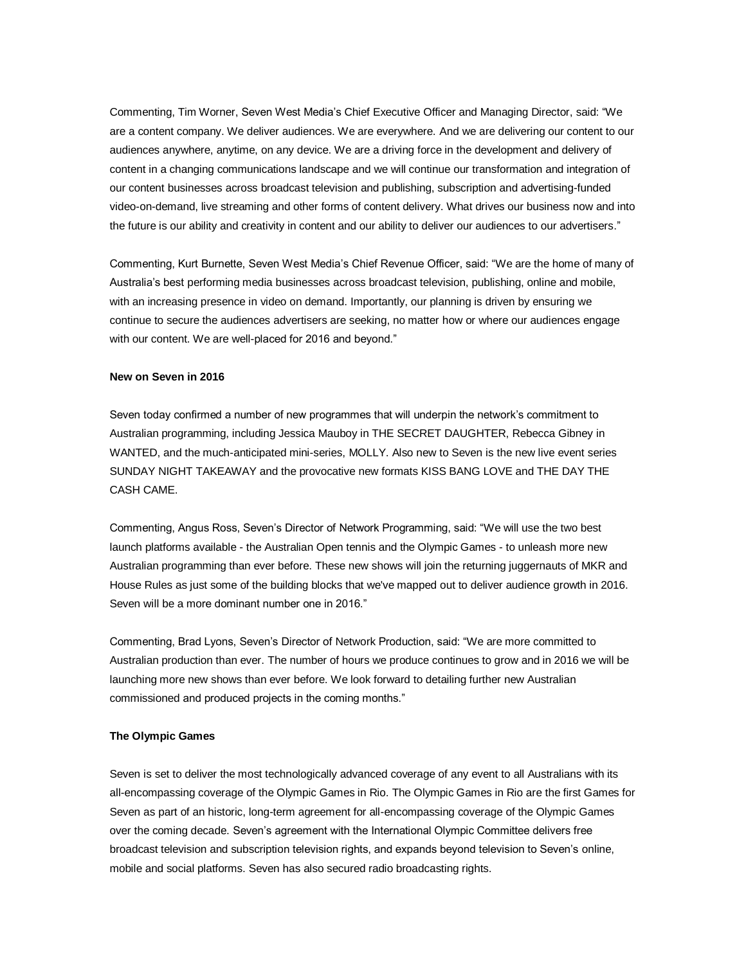Commenting, Tim Worner, Seven West Media's Chief Executive Officer and Managing Director, said: "We are a content company. We deliver audiences. We are everywhere. And we are delivering our content to our audiences anywhere, anytime, on any device. We are a driving force in the development and delivery of content in a changing communications landscape and we will continue our transformation and integration of our content businesses across broadcast television and publishing, subscription and advertising-funded video-on-demand, live streaming and other forms of content delivery. What drives our business now and into the future is our ability and creativity in content and our ability to deliver our audiences to our advertisers."

Commenting, Kurt Burnette, Seven West Media's Chief Revenue Officer, said: "We are the home of many of Australia's best performing media businesses across broadcast television, publishing, online and mobile, with an increasing presence in video on demand. Importantly, our planning is driven by ensuring we continue to secure the audiences advertisers are seeking, no matter how or where our audiences engage with our content. We are well-placed for 2016 and beyond."

## **New on Seven in 2016**

Seven today confirmed a number of new programmes that will underpin the network's commitment to Australian programming, including Jessica Mauboy in THE SECRET DAUGHTER, Rebecca Gibney in WANTED, and the much-anticipated mini-series, MOLLY. Also new to Seven is the new live event series SUNDAY NIGHT TAKEAWAY and the provocative new formats KISS BANG LOVE and THE DAY THE CASH CAME.

Commenting, Angus Ross, Seven's Director of Network Programming, said: "We will use the two best launch platforms available - the Australian Open tennis and the Olympic Games - to unleash more new Australian programming than ever before. These new shows will join the returning juggernauts of MKR and House Rules as just some of the building blocks that we've mapped out to deliver audience growth in 2016. Seven will be a more dominant number one in 2016."

Commenting, Brad Lyons, Seven's Director of Network Production, said: "We are more committed to Australian production than ever. The number of hours we produce continues to grow and in 2016 we will be launching more new shows than ever before. We look forward to detailing further new Australian commissioned and produced projects in the coming months."

### **The Olympic Games**

Seven is set to deliver the most technologically advanced coverage of any event to all Australians with its all-encompassing coverage of the Olympic Games in Rio. The Olympic Games in Rio are the first Games for Seven as part of an historic, long-term agreement for all-encompassing coverage of the Olympic Games over the coming decade. Seven's agreement with the International Olympic Committee delivers free broadcast television and subscription television rights, and expands beyond television to Seven's online, mobile and social platforms. Seven has also secured radio broadcasting rights.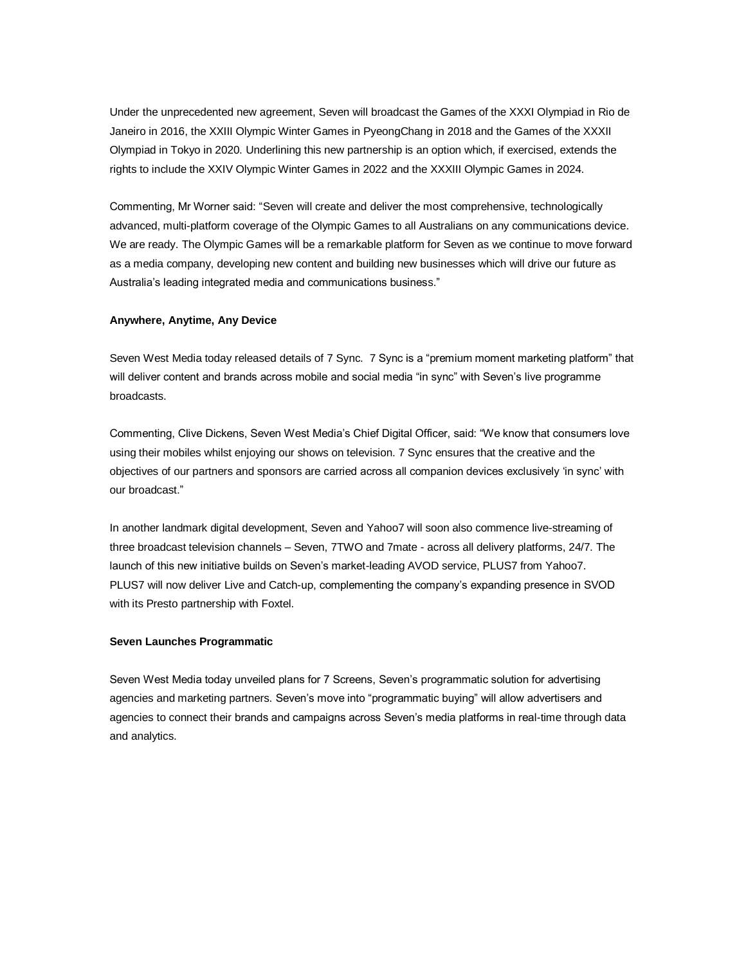Under the unprecedented new agreement, Seven will broadcast the Games of the XXXI Olympiad in Rio de Janeiro in 2016, the XXIII Olympic Winter Games in PyeongChang in 2018 and the Games of the XXXII Olympiad in Tokyo in 2020. Underlining this new partnership is an option which, if exercised, extends the rights to include the XXIV Olympic Winter Games in 2022 and the XXXIII Olympic Games in 2024.

Commenting, Mr Worner said: "Seven will create and deliver the most comprehensive, technologically advanced, multi-platform coverage of the Olympic Games to all Australians on any communications device. We are ready. The Olympic Games will be a remarkable platform for Seven as we continue to move forward as a media company, developing new content and building new businesses which will drive our future as Australia's leading integrated media and communications business."

## **Anywhere, Anytime, Any Device**

Seven West Media today released details of 7 Sync. 7 Sync is a "premium moment marketing platform" that will deliver content and brands across mobile and social media "in sync" with Seven's live programme broadcasts.

Commenting, Clive Dickens, Seven West Media's Chief Digital Officer, said: "We know that consumers love using their mobiles whilst enjoying our shows on television. 7 Sync ensures that the creative and the objectives of our partners and sponsors are carried across all companion devices exclusively 'in sync' with our broadcast."

In another landmark digital development, Seven and Yahoo7 will soon also commence live-streaming of three broadcast television channels – Seven, 7TWO and 7mate - across all delivery platforms, 24/7. The launch of this new initiative builds on Seven's market-leading AVOD service, PLUS7 from Yahoo7. PLUS7 will now deliver Live and Catch-up, complementing the company's expanding presence in SVOD with its Presto partnership with Foxtel.

## **Seven Launches Programmatic**

Seven West Media today unveiled plans for 7 Screens, Seven's programmatic solution for advertising agencies and marketing partners. Seven's move into "programmatic buying" will allow advertisers and agencies to connect their brands and campaigns across Seven's media platforms in real-time through data and analytics.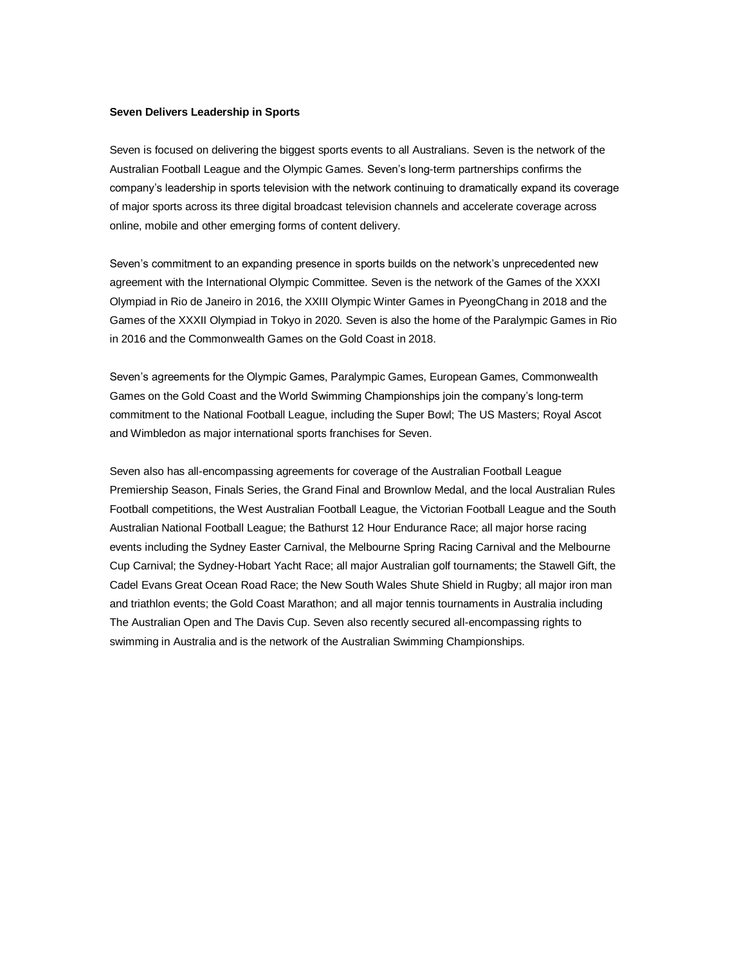### **Seven Delivers Leadership in Sports**

Seven is focused on delivering the biggest sports events to all Australians. Seven is the network of the Australian Football League and the Olympic Games. Seven's long-term partnerships confirms the company's leadership in sports television with the network continuing to dramatically expand its coverage of major sports across its three digital broadcast television channels and accelerate coverage across online, mobile and other emerging forms of content delivery.

Seven's commitment to an expanding presence in sports builds on the network's unprecedented new agreement with the International Olympic Committee. Seven is the network of the Games of the XXXI Olympiad in Rio de Janeiro in 2016, the XXIII Olympic Winter Games in PyeongChang in 2018 and the Games of the XXXII Olympiad in Tokyo in 2020. Seven is also the home of the Paralympic Games in Rio in 2016 and the Commonwealth Games on the Gold Coast in 2018.

Seven's agreements for the Olympic Games, Paralympic Games, European Games, Commonwealth Games on the Gold Coast and the World Swimming Championships join the company's long-term commitment to the National Football League, including the Super Bowl; The US Masters; Royal Ascot and Wimbledon as major international sports franchises for Seven.

Seven also has all-encompassing agreements for coverage of the Australian Football League Premiership Season, Finals Series, the Grand Final and Brownlow Medal, and the local Australian Rules Football competitions, the West Australian Football League, the Victorian Football League and the South Australian National Football League; the Bathurst 12 Hour Endurance Race; all major horse racing events including the Sydney Easter Carnival, the Melbourne Spring Racing Carnival and the Melbourne Cup Carnival; the Sydney-Hobart Yacht Race; all major Australian golf tournaments; the Stawell Gift, the Cadel Evans Great Ocean Road Race; the New South Wales Shute Shield in Rugby; all major iron man and triathlon events; the Gold Coast Marathon; and all major tennis tournaments in Australia including The Australian Open and The Davis Cup. Seven also recently secured all-encompassing rights to swimming in Australia and is the network of the Australian Swimming Championships.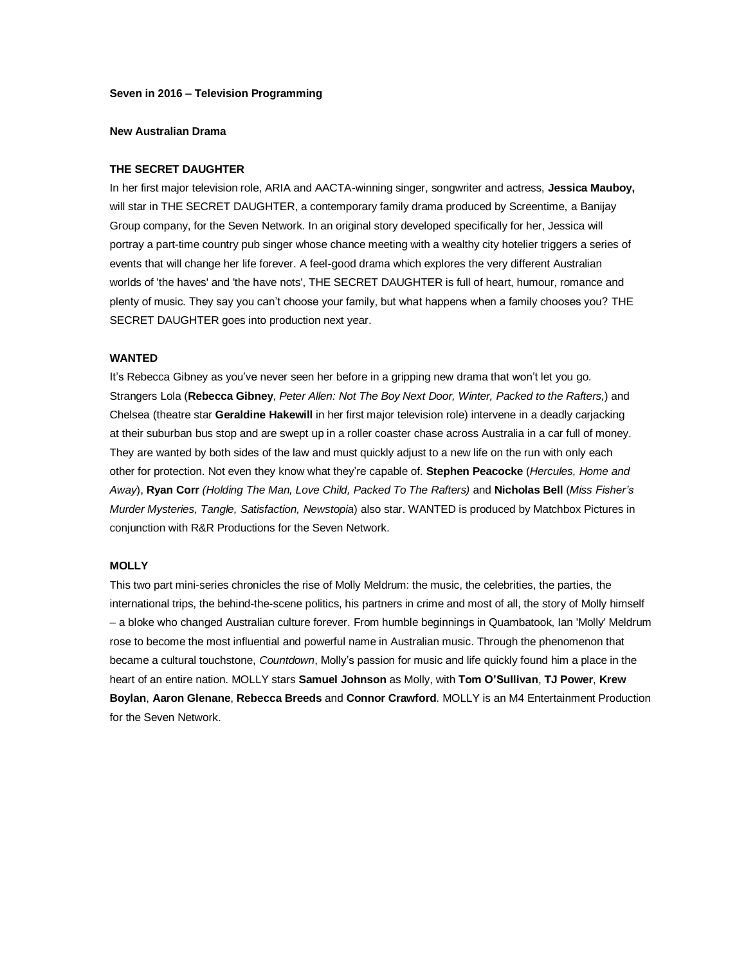### **Seven in 2016 – Television Programming**

#### **New Australian Drama**

## **THE SECRET DAUGHTER**

In her first major television role, ARIA and AACTA-winning singer, songwriter and actress, **Jessica Mauboy,** will star in THE SECRET DAUGHTER, a contemporary family drama produced by Screentime, a Banijay Group company, for the Seven Network. In an original story developed specifically for her, Jessica will portray a part-time country pub singer whose chance meeting with a wealthy city hotelier triggers a series of events that will change her life forever. A feel-good drama which explores the very different Australian worlds of 'the haves' and 'the have nots', THE SECRET DAUGHTER is full of heart, humour, romance and plenty of music. They say you can't choose your family, but what happens when a family chooses you? THE SECRET DAUGHTER goes into production next year.

### **WANTED**

It's Rebecca Gibney as you've never seen her before in a gripping new drama that won't let you go. Strangers Lola (**Rebecca Gibney**, *Peter Allen: Not The Boy Next Door, Winter, Packed to the Rafters,*) and Chelsea (theatre star **Geraldine Hakewill** in her first major television role) intervene in a deadly carjacking at their suburban bus stop and are swept up in a roller coaster chase across Australia in a car full of money. They are wanted by both sides of the law and must quickly adjust to a new life on the run with only each other for protection. Not even they know what they're capable of. **Stephen Peacocke** (*Hercules, Home and Away*), **Ryan Corr** *(Holding The Man, Love Child, Packed To The Rafters)* and **Nicholas Bell** (*Miss Fisher's Murder Mysteries, Tangle, Satisfaction, Newstopia*) also star. WANTED is produced by Matchbox Pictures in conjunction with R&R Productions for the Seven Network.

### **MOLLY**

This two part mini-series chronicles the rise of Molly Meldrum: the music, the celebrities, the parties, the international trips, the behind-the-scene politics, his partners in crime and most of all, the story of Molly himself – a bloke who changed Australian culture forever. From humble beginnings in Quambatook, Ian 'Molly' Meldrum rose to become the most influential and powerful name in Australian music. Through the phenomenon that became a cultural touchstone, *Countdown*, Molly's passion for music and life quickly found him a place in the heart of an entire nation. MOLLY stars **Samuel Johnson** as Molly, with **Tom O'Sullivan**, **TJ Power**, **Krew Boylan**, **Aaron Glenane**, **Rebecca Breeds** and **Connor Crawford**. MOLLY is an M4 Entertainment Production for the Seven Network.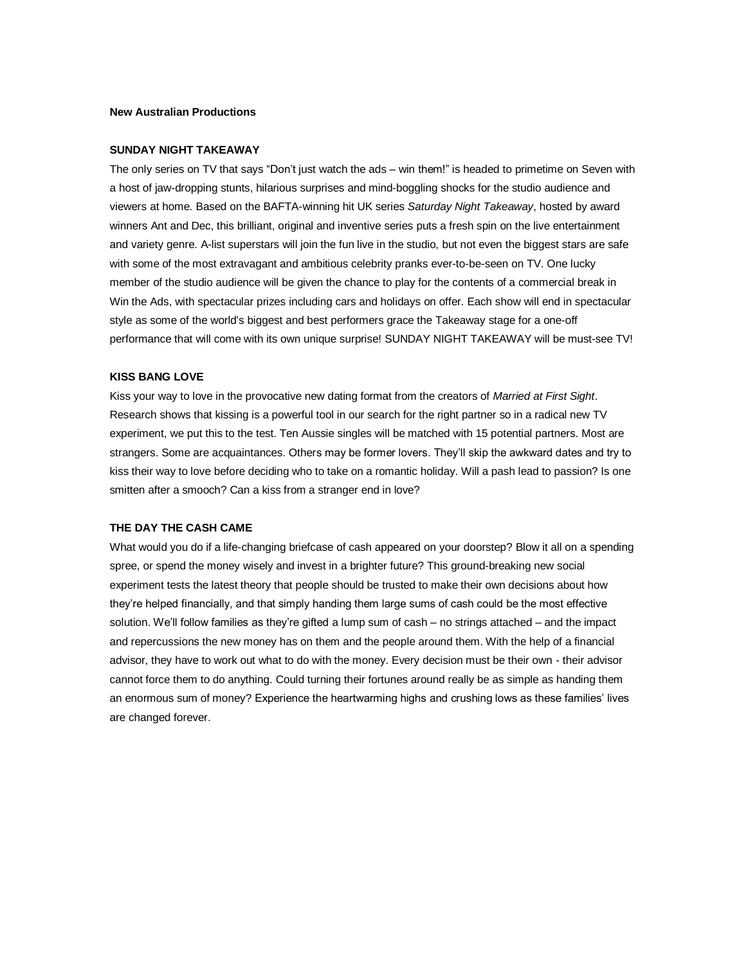### **New Australian Productions**

### **SUNDAY NIGHT TAKEAWAY**

The only series on TV that says "Don't just watch the ads – win them!" is headed to primetime on Seven with a host of jaw-dropping stunts, hilarious surprises and mind-boggling shocks for the studio audience and viewers at home. Based on the BAFTA-winning hit UK series *Saturday Night Takeaway*, hosted by award winners Ant and Dec, this brilliant, original and inventive series puts a fresh spin on the live entertainment and variety genre. A-list superstars will join the fun live in the studio, but not even the biggest stars are safe with some of the most extravagant and ambitious celebrity pranks ever-to-be-seen on TV. One lucky member of the studio audience will be given the chance to play for the contents of a commercial break in Win the Ads, with spectacular prizes including cars and holidays on offer. Each show will end in spectacular style as some of the world's biggest and best performers grace the Takeaway stage for a one-off performance that will come with its own unique surprise! SUNDAY NIGHT TAKEAWAY will be must-see TV!

## **KISS BANG LOVE**

Kiss your way to love in the provocative new dating format from the creators of *Married at First Sight*. Research shows that kissing is a powerful tool in our search for the right partner so in a radical new TV experiment, we put this to the test. Ten Aussie singles will be matched with 15 potential partners. Most are strangers. Some are acquaintances. Others may be former lovers. They'll skip the awkward dates and try to kiss their way to love before deciding who to take on a romantic holiday. Will a pash lead to passion? Is one smitten after a smooch? Can a kiss from a stranger end in love?

## **THE DAY THE CASH CAME**

What would you do if a life-changing briefcase of cash appeared on your doorstep? Blow it all on a spending spree, or spend the money wisely and invest in a brighter future? This ground-breaking new social experiment tests the latest theory that people should be trusted to make their own decisions about how they're helped financially, and that simply handing them large sums of cash could be the most effective solution. We'll follow families as they're gifted a lump sum of cash – no strings attached – and the impact and repercussions the new money has on them and the people around them. With the help of a financial advisor, they have to work out what to do with the money. Every decision must be their own - their advisor cannot force them to do anything. Could turning their fortunes around really be as simple as handing them an enormous sum of money? Experience the heartwarming highs and crushing lows as these families' lives are changed forever.